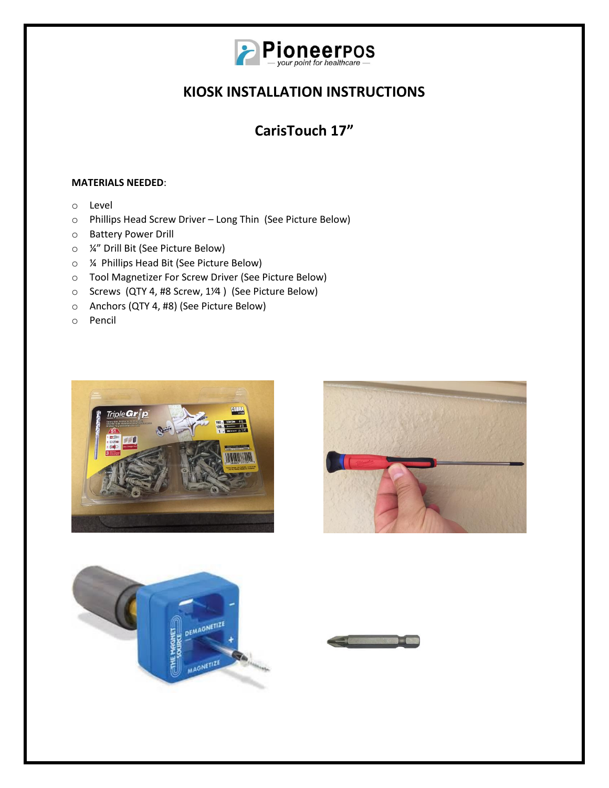

# **CarisTouch 17"**

### **MATERIALS NEEDED**:

- o Level
- o Phillips Head Screw Driver Long Thin (See Picture Below)
- o Battery Power Drill
- o ¼" Drill Bit (See Picture Below)
- o ¼ Phillips Head Bit (See Picture Below)
- o Tool Magnetizer For Screw Driver (See Picture Below)
- o Screws (QTY 4, #8 Screw, 1⅟4 ) (See Picture Below)
- o Anchors (QTY 4, #8) (See Picture Below)
- o Pencil







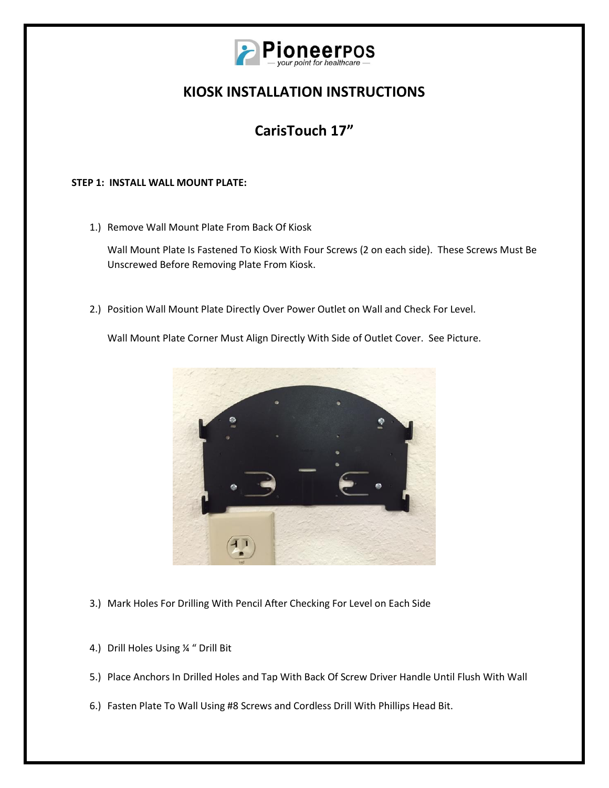

## **CarisTouch 17"**

### **STEP 1: INSTALL WALL MOUNT PLATE:**

1.) Remove Wall Mount Plate From Back Of Kiosk

Wall Mount Plate Is Fastened To Kiosk With Four Screws (2 on each side). These Screws Must Be Unscrewed Before Removing Plate From Kiosk.

2.) Position Wall Mount Plate Directly Over Power Outlet on Wall and Check For Level.

Wall Mount Plate Corner Must Align Directly With Side of Outlet Cover. See Picture.



- 3.) Mark Holes For Drilling With Pencil After Checking For Level on Each Side
- 4.) Drill Holes Using ¼ " Drill Bit
- 5.) Place Anchors In Drilled Holes and Tap With Back Of Screw Driver Handle Until Flush With Wall
- 6.) Fasten Plate To Wall Using #8 Screws and Cordless Drill With Phillips Head Bit.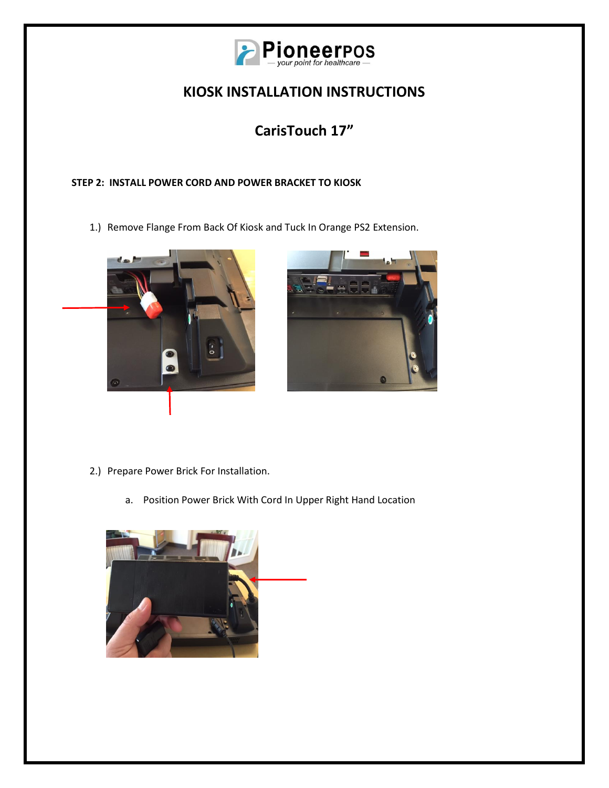

# **CarisTouch 17"**

### **STEP 2: INSTALL POWER CORD AND POWER BRACKET TO KIOSK**

1.) Remove Flange From Back Of Kiosk and Tuck In Orange PS2 Extension.





- 2.) Prepare Power Brick For Installation.
	- a. Position Power Brick With Cord In Upper Right Hand Location

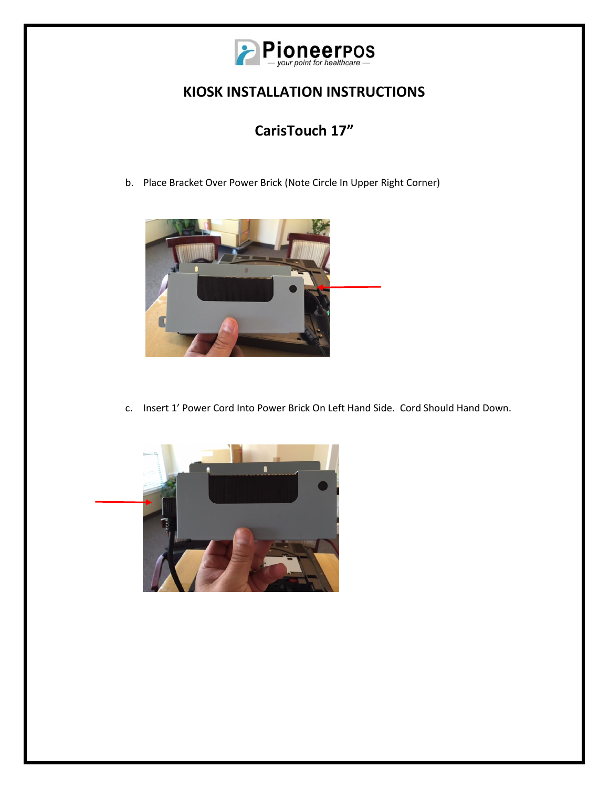

## **CarisTouch 17"**

b. Place Bracket Over Power Brick (Note Circle In Upper Right Corner)



c. Insert 1' Power Cord Into Power Brick On Left Hand Side. Cord Should Hand Down.

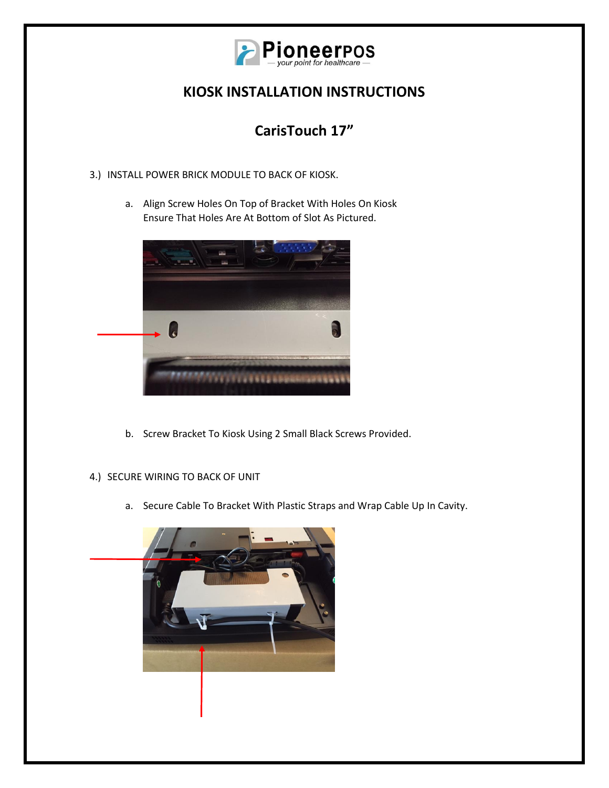

# **CarisTouch 17"**

- 3.) INSTALL POWER BRICK MODULE TO BACK OF KIOSK.
	- a. Align Screw Holes On Top of Bracket With Holes On Kiosk Ensure That Holes Are At Bottom of Slot As Pictured.



- b. Screw Bracket To Kiosk Using 2 Small Black Screws Provided.
- 4.) SECURE WIRING TO BACK OF UNIT
	- a. Secure Cable To Bracket With Plastic Straps and Wrap Cable Up In Cavity.